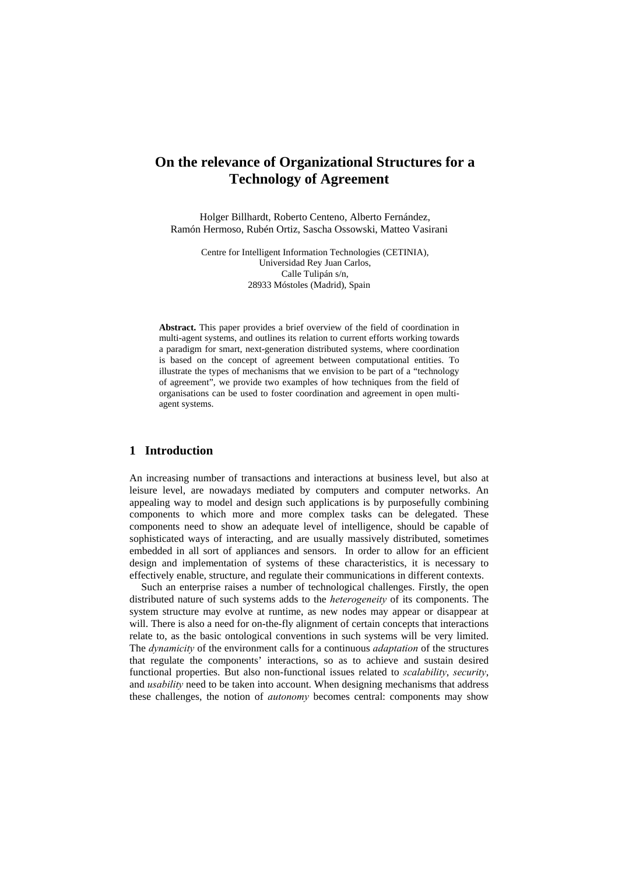# **On the relevance of Organizational Structures for a Technology of Agreement**

Holger Billhardt, Roberto Centeno, Alberto Fernández, Ramón Hermoso, Rubén Ortiz, Sascha Ossowski, Matteo Vasirani

> Centre for Intelligent Information Technologies (CETINIA), Universidad Rey Juan Carlos, Calle Tulipán s/n, 28933 Móstoles (Madrid), Spain

**Abstract.** This paper provides a brief overview of the field of coordination in multi-agent systems, and outlines its relation to current efforts working towards a paradigm for smart, next-generation distributed systems, where coordination is based on the concept of agreement between computational entities. To illustrate the types of mechanisms that we envision to be part of a "technology of agreement", we provide two examples of how techniques from the field of organisations can be used to foster coordination and agreement in open multiagent systems.

# **1 Introduction**

An increasing number of transactions and interactions at business level, but also at leisure level, are nowadays mediated by computers and computer networks. An appealing way to model and design such applications is by purposefully combining components to which more and more complex tasks can be delegated. These components need to show an adequate level of intelligence, should be capable of sophisticated ways of interacting, and are usually massively distributed, sometimes embedded in all sort of appliances and sensors. In order to allow for an efficient design and implementation of systems of these characteristics, it is necessary to effectively enable, structure, and regulate their communications in different contexts.

Such an enterprise raises a number of technological challenges. Firstly, the open distributed nature of such systems adds to the *heterogeneity* of its components. The system structure may evolve at runtime, as new nodes may appear or disappear at will. There is also a need for on-the-fly alignment of certain concepts that interactions relate to, as the basic ontological conventions in such systems will be very limited. The *dynamicity* of the environment calls for a continuous *adaptation* of the structures that regulate the components' interactions, so as to achieve and sustain desired functional properties. But also non-functional issues related to *scalability*, *security*, and *usability* need to be taken into account. When designing mechanisms that address these challenges, the notion of *autonomy* becomes central: components may show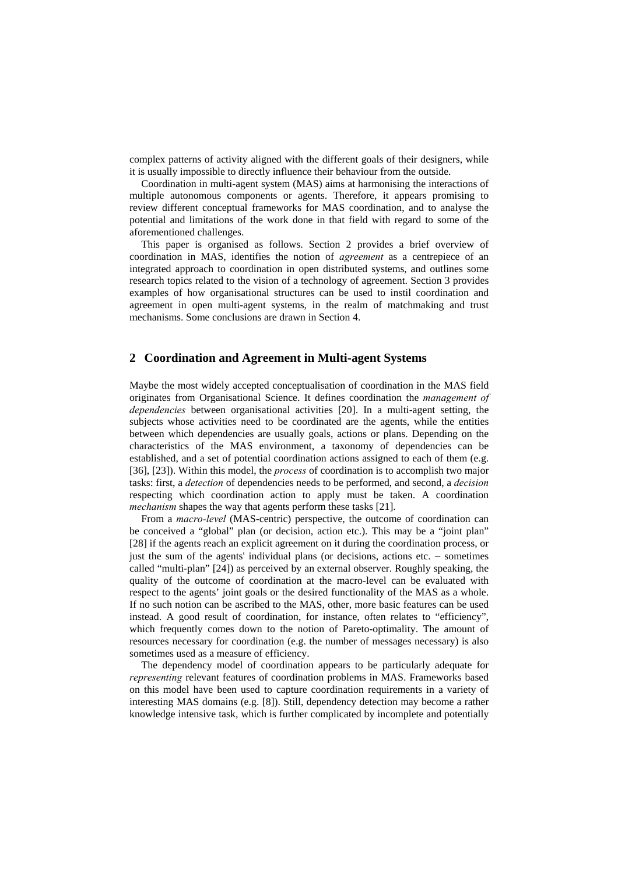complex patterns of activity aligned with the different goals of their designers, while it is usually impossible to directly influence their behaviour from the outside.

Coordination in multi-agent system (MAS) aims at harmonising the interactions of multiple autonomous components or agents. Therefore, it appears promising to review different conceptual frameworks for MAS coordination, and to analyse the potential and limitations of the work done in that field with regard to some of the aforementioned challenges.

This paper is organised as follows. Section 2 provides a brief overview of coordination in MAS, identifies the notion of *agreement* as a centrepiece of an integrated approach to coordination in open distributed systems, and outlines some research topics related to the vision of a technology of agreement. Section 3 provides examples of how organisational structures can be used to instil coordination and agreement in open multi-agent systems, in the realm of matchmaking and trust mechanisms. Some conclusions are drawn in Section 4.

### **2 Coordination and Agreement in Multi-agent Systems**

Maybe the most widely accepted conceptualisation of coordination in the MAS field originates from Organisational Science. It defines coordination the *management of dependencies* between organisational activities [20]. In a multi-agent setting, the subjects whose activities need to be coordinated are the agents, while the entities between which dependencies are usually goals, actions or plans. Depending on the characteristics of the MAS environment, a taxonomy of dependencies can be established, and a set of potential coordination actions assigned to each of them (e.g. [36], [23]). Within this model, the *process* of coordination is to accomplish two major tasks: first, a *detection* of dependencies needs to be performed, and second, a *decision* respecting which coordination action to apply must be taken. A coordination *mechanism* shapes the way that agents perform these tasks [21].

From a *macro-level* (MAS-centric) perspective, the outcome of coordination can be conceived a "global" plan (or decision, action etc.). This may be a "joint plan" [28] if the agents reach an explicit agreement on it during the coordination process, or just the sum of the agents' individual plans (or decisions, actions etc. − sometimes called "multi-plan" [24]) as perceived by an external observer. Roughly speaking, the quality of the outcome of coordination at the macro-level can be evaluated with respect to the agents' joint goals or the desired functionality of the MAS as a whole. If no such notion can be ascribed to the MAS, other, more basic features can be used instead. A good result of coordination, for instance, often relates to "efficiency", which frequently comes down to the notion of Pareto-optimality. The amount of resources necessary for coordination (e.g. the number of messages necessary) is also sometimes used as a measure of efficiency.

The dependency model of coordination appears to be particularly adequate for *representing* relevant features of coordination problems in MAS. Frameworks based on this model have been used to capture coordination requirements in a variety of interesting MAS domains (e.g. [8]). Still, dependency detection may become a rather knowledge intensive task, which is further complicated by incomplete and potentially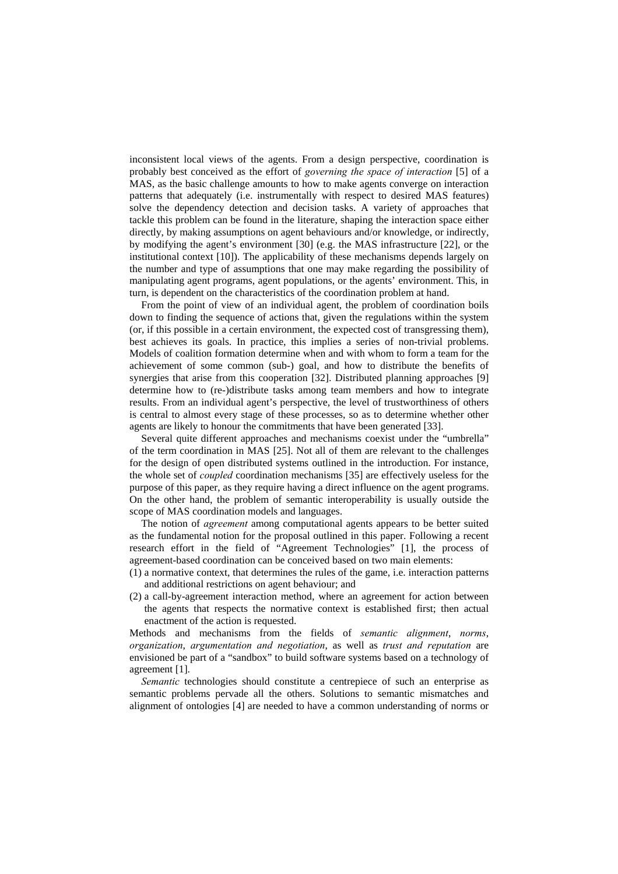inconsistent local views of the agents. From a design perspective, coordination is probably best conceived as the effort of *governing the space of interaction* [5] of a MAS, as the basic challenge amounts to how to make agents converge on interaction patterns that adequately (i.e. instrumentally with respect to desired MAS features) solve the dependency detection and decision tasks. A variety of approaches that tackle this problem can be found in the literature, shaping the interaction space either directly, by making assumptions on agent behaviours and/or knowledge, or indirectly, by modifying the agent's environment [30] (e.g. the MAS infrastructure [22], or the institutional context [10]). The applicability of these mechanisms depends largely on the number and type of assumptions that one may make regarding the possibility of manipulating agent programs, agent populations, or the agents' environment. This, in turn, is dependent on the characteristics of the coordination problem at hand.

From the point of view of an individual agent, the problem of coordination boils down to finding the sequence of actions that, given the regulations within the system (or, if this possible in a certain environment, the expected cost of transgressing them), best achieves its goals. In practice, this implies a series of non-trivial problems. Models of coalition formation determine when and with whom to form a team for the achievement of some common (sub-) goal, and how to distribute the benefits of synergies that arise from this cooperation [32]. Distributed planning approaches [9] determine how to (re-)distribute tasks among team members and how to integrate results. From an individual agent's perspective, the level of trustworthiness of others is central to almost every stage of these processes, so as to determine whether other agents are likely to honour the commitments that have been generated [33].

Several quite different approaches and mechanisms coexist under the "umbrella" of the term coordination in MAS [25]. Not all of them are relevant to the challenges for the design of open distributed systems outlined in the introduction. For instance, the whole set of *coupled* coordination mechanisms [35] are effectively useless for the purpose of this paper, as they require having a direct influence on the agent programs. On the other hand, the problem of semantic interoperability is usually outside the scope of MAS coordination models and languages.

The notion of *agreement* among computational agents appears to be better suited as the fundamental notion for the proposal outlined in this paper. Following a recent research effort in the field of "Agreement Technologies" [1], the process of agreement-based coordination can be conceived based on two main elements:

- (1) a normative context, that determines the rules of the game, i.e. interaction patterns and additional restrictions on agent behaviour; and
- (2) a call-by-agreement interaction method, where an agreement for action between the agents that respects the normative context is established first; then actual enactment of the action is requested.

Methods and mechanisms from the fields of *semantic alignment*, *norms*, *organization*, *argumentation and negotiation*, as well as *trust and reputation* are envisioned be part of a "sandbox" to build software systems based on a technology of agreement [1].

*Semantic* technologies should constitute a centrepiece of such an enterprise as semantic problems pervade all the others. Solutions to semantic mismatches and alignment of ontologies [4] are needed to have a common understanding of norms or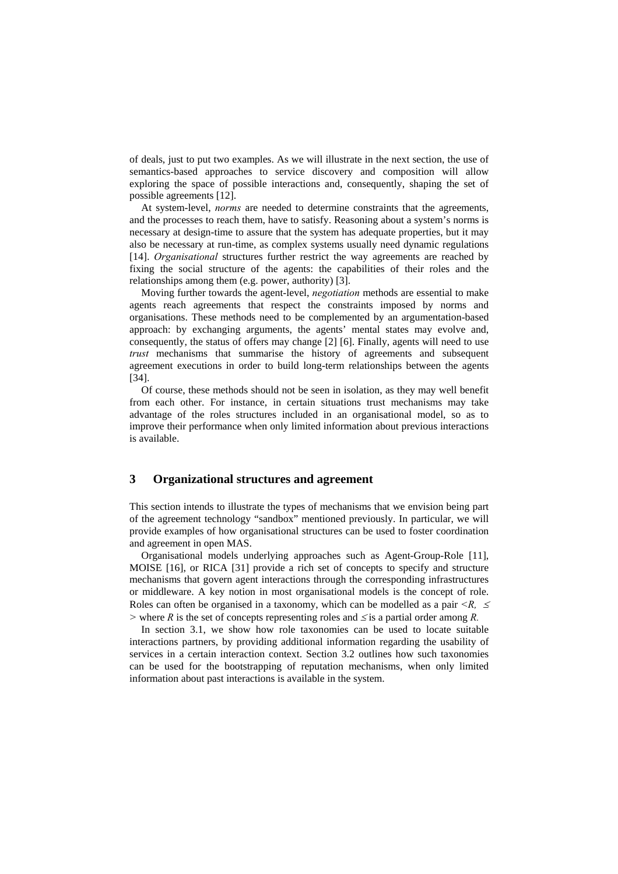of deals, just to put two examples. As we will illustrate in the next section, the use of semantics-based approaches to service discovery and composition will allow exploring the space of possible interactions and, consequently, shaping the set of possible agreements [12].

At system-level, *norms* are needed to determine constraints that the agreements, and the processes to reach them, have to satisfy. Reasoning about a system's norms is necessary at design-time to assure that the system has adequate properties, but it may also be necessary at run-time, as complex systems usually need dynamic regulations [14]. *Organisational* structures further restrict the way agreements are reached by fixing the social structure of the agents: the capabilities of their roles and the relationships among them (e.g. power, authority) [3].

Moving further towards the agent-level, *negotiation* methods are essential to make agents reach agreements that respect the constraints imposed by norms and organisations. These methods need to be complemented by an argumentation-based approach: by exchanging arguments, the agents' mental states may evolve and, consequently, the status of offers may change [2] [6]. Finally, agents will need to use *trust* mechanisms that summarise the history of agreements and subsequent agreement executions in order to build long-term relationships between the agents [34].

Of course, these methods should not be seen in isolation, as they may well benefit from each other. For instance, in certain situations trust mechanisms may take advantage of the roles structures included in an organisational model, so as to improve their performance when only limited information about previous interactions is available.

## **3 Organizational structures and agreement**

This section intends to illustrate the types of mechanisms that we envision being part of the agreement technology "sandbox" mentioned previously. In particular, we will provide examples of how organisational structures can be used to foster coordination and agreement in open MAS.

Organisational models underlying approaches such as Agent-Group-Role [11], MOISE [16], or RICA [31] provide a rich set of concepts to specify and structure mechanisms that govern agent interactions through the corresponding infrastructures or middleware. A key notion in most organisational models is the concept of role. Roles can often be organised in a taxonomy, which can be modelled as a pair  $\leq R$ ,  $\leq$ *>* where *R* is the set of concepts representing roles and ≤ is a partial order among *R.*

In section 3.1, we show how role taxonomies can be used to locate suitable interactions partners, by providing additional information regarding the usability of services in a certain interaction context. Section 3.2 outlines how such taxonomies can be used for the bootstrapping of reputation mechanisms, when only limited information about past interactions is available in the system.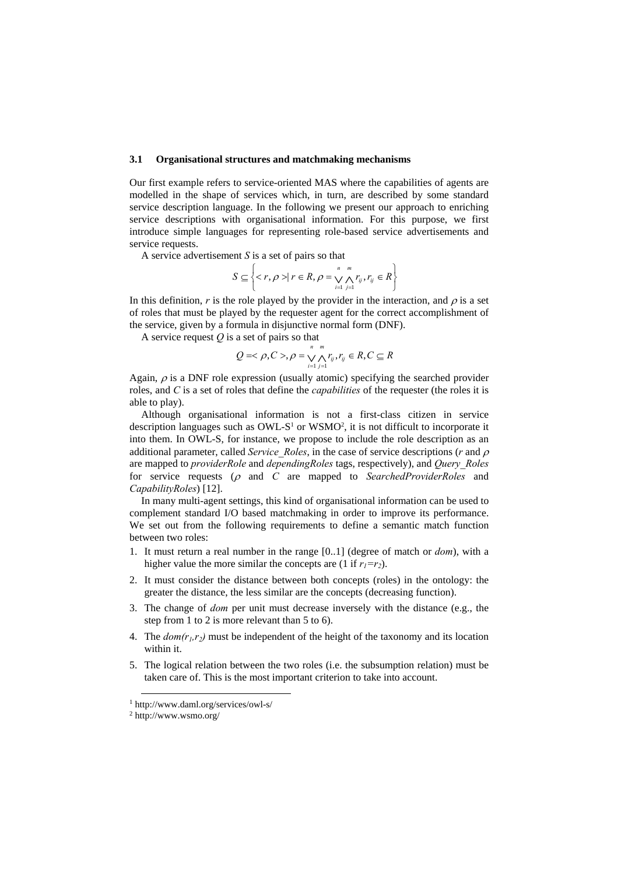#### **3.1 Organisational structures and matchmaking mechanisms**

Our first example refers to service-oriented MAS where the capabilities of agents are modelled in the shape of services which, in turn, are described by some standard service description language. In the following we present our approach to enriching service descriptions with organisational information. For this purpose, we first introduce simple languages for representing role-based service advertisements and service requests.

A service advertisement *S* is a set of pairs so that

$$
S \subseteq \left\{  \mid r \in R, \rho = \bigvee_{i=1}^{n} \bigwedge_{j=1}^{m} r_{ij}, r_{ij} \in R \right\}
$$

In this definition, *r* is the role played by the provider in the interaction, and  $\rho$  is a set of roles that must be played by the requester agent for the correct accomplishment of the service, given by a formula in disjunctive normal form (DNF).

A service request *Q* is a set of pairs so that

$$
Q=<\rho,C>, \rho=\mathop{\vee}\limits_{i=1}^{n}\mathop{\wedge}\limits_{j=1}^{m}r_{ij}, r_{ij}\in R, C\subseteq R
$$

Again,  $\rho$  is a DNF role expression (usually atomic) specifying the searched provider roles, and *C* is a set of roles that define the *capabilities* of the requester (the roles it is able to play).

Although organisational information is not a first-class citizen in service description languages such as  $OWL-S<sup>1</sup>$  or  $WSMO<sup>2</sup>$ , it is not difficult to incorporate it into them. In OWL-S, for instance, we propose to include the role description as an additional parameter, called *Service\_Roles*, in the case of service descriptions (*r* and <sup>ρ</sup> are mapped to *providerRole* and *dependingRoles* tags, respectively), and *Query\_Roles* for service requests (ρ and *C* are mapped to *SearchedProviderRoles* and *CapabilityRoles*) [12].

In many multi-agent settings, this kind of organisational information can be used to complement standard I/O based matchmaking in order to improve its performance. We set out from the following requirements to define a semantic match function between two roles:

- 1. It must return a real number in the range [0..1] (degree of match or *dom*), with a higher value the more similar the concepts are (1 if  $r_1=r_2$ ).
- 2. It must consider the distance between both concepts (roles) in the ontology: the greater the distance, the less similar are the concepts (decreasing function).
- 3. The change of *dom* per unit must decrease inversely with the distance (e.g., the step from 1 to 2 is more relevant than 5 to 6).
- 4. The  $dom(r_1, r_2)$  must be independent of the height of the taxonomy and its location within it.
- 5. The logical relation between the two roles (i.e. the subsumption relation) must be taken care of. This is the most important criterion to take into account.

 <sup>1</sup> http://www.daml.org/services/owl-s/

<sup>2</sup> http://www.wsmo.org/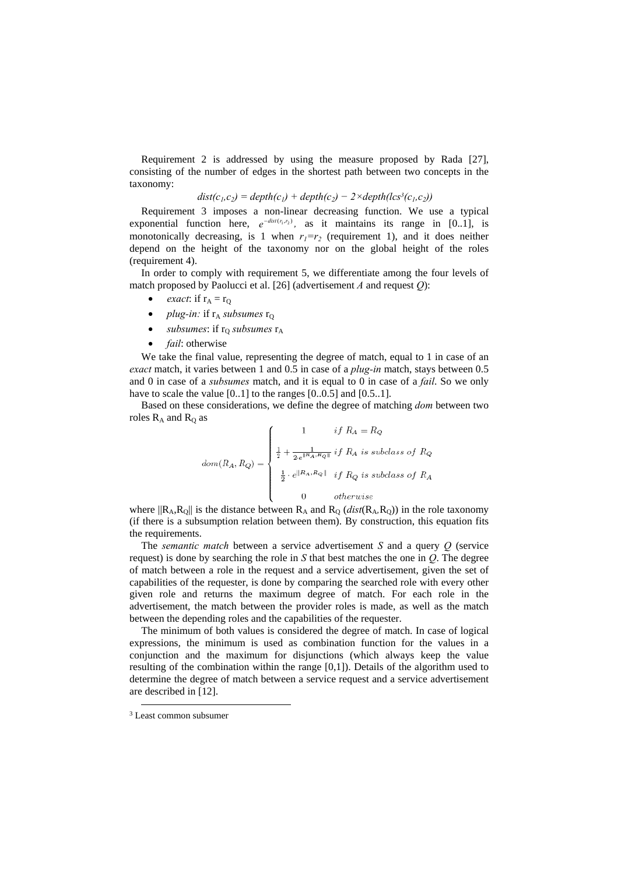Requirement 2 is addressed by using the measure proposed by Rada [27], consisting of the number of edges in the shortest path between two concepts in the taxonomy:

$$
dist(c_1,c_2) = depth(c_1) + depth(c_2) - 2 \times depth(lcs^3(c_1,c_2))
$$

Requirement 3 imposes a non-linear decreasing function. We use a typical exponential function here,  $e^{-dist(r_1, r_2)}$ , as it maintains its range in [0..1], is monotonically decreasing, is 1 when  $r_1=r_2$  (requirement 1), and it does neither depend on the height of the taxonomy nor on the global height of the roles (requirement 4).

In order to comply with requirement 5, we differentiate among the four levels of match proposed by Paolucci et al. [26] (advertisement *A* and request *Q*):

- *exact*: if  $r_A = r_O$
- *plug-in:* if  $r_A$  *subsumes*  $r_O$
- $subsumes:$  if  $r_0$  *subsumes*  $r_A$
- *fail*: otherwise

We take the final value, representing the degree of match, equal to 1 in case of an *exact* match, it varies between 1 and 0.5 in case of a *plug-in* match, stays between 0.5 and 0 in case of a *subsumes* match, and it is equal to 0 in case of a *fail*. So we only have to scale the value [0..1] to the ranges [0..0.5] and [0.5..1].

Based on these considerations, we define the degree of matching *dom* between two roles  $R_A$  and  $R_O$  as

$$
dom(R_A, R_Q) = \begin{cases} 1 & if \ R_A = R_Q \\ \frac{1}{2} + \frac{1}{2 \cdot e^{\|R_A, R_Q\|}} & if \ R_A \ is \ subclass \ of \ R_Q \\ \frac{1}{2} \cdot e^{\|R_A, R_Q\|} & if \ R_Q \ is \ subclass \ of \ R_A \\ 0 & otherwise \end{cases}
$$

where  $||R_A, R_0||$  is the distance between  $R_A$  and  $R_O$  (*dist*( $R_A, R_O$ )) in the role taxonomy (if there is a subsumption relation between them). By construction, this equation fits the requirements.

The *semantic match* between a service advertisement *S* and a query *Q* (service request) is done by searching the role in *S* that best matches the one in *Q*. The degree of match between a role in the request and a service advertisement, given the set of capabilities of the requester, is done by comparing the searched role with every other given role and returns the maximum degree of match. For each role in the advertisement, the match between the provider roles is made, as well as the match between the depending roles and the capabilities of the requester.

The minimum of both values is considered the degree of match. In case of logical expressions, the minimum is used as combination function for the values in a conjunction and the maximum for disjunctions (which always keep the value resulting of the combination within the range [0,1]). Details of the algorithm used to determine the degree of match between a service request and a service advertisement are described in [12].

 <sup>3</sup> Least common subsumer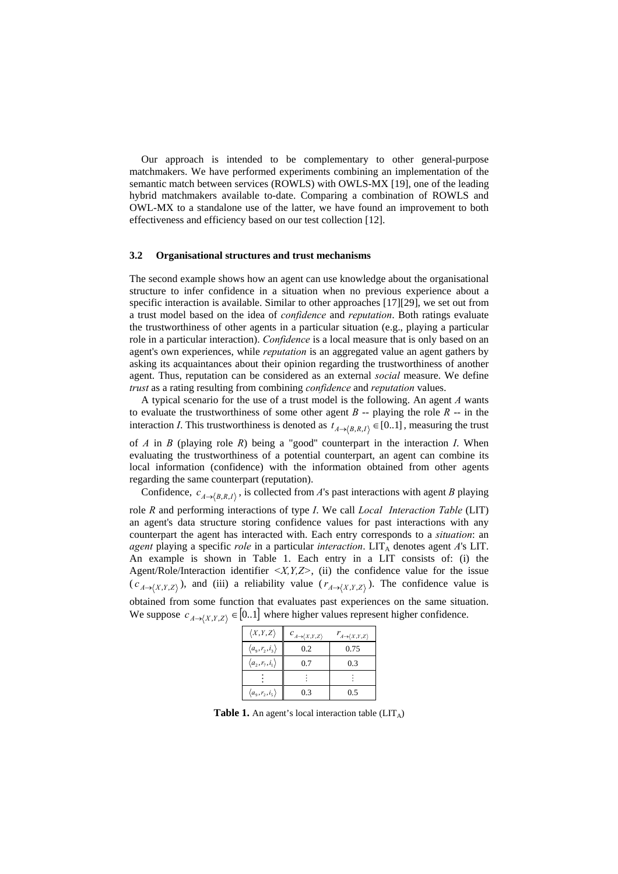Our approach is intended to be complementary to other general-purpose matchmakers. We have performed experiments combining an implementation of the semantic match between services (ROWLS) with OWLS-MX [19], one of the leading hybrid matchmakers available to-date. Comparing a combination of ROWLS and OWL-MX to a standalone use of the latter, we have found an improvement to both effectiveness and efficiency based on our test collection [12].

#### **3.2 Organisational structures and trust mechanisms**

The second example shows how an agent can use knowledge about the organisational structure to infer confidence in a situation when no previous experience about a specific interaction is available. Similar to other approaches [17][29], we set out from a trust model based on the idea of *confidence* and *reputation*. Both ratings evaluate the trustworthiness of other agents in a particular situation (e.g., playing a particular role in a particular interaction). *Confidence* is a local measure that is only based on an agent's own experiences, while *reputation* is an aggregated value an agent gathers by asking its acquaintances about their opinion regarding the trustworthiness of another agent. Thus, reputation can be considered as an external *social* measure. We define *trust* as a rating resulting from combining *confidence* and *reputation* values.

A typical scenario for the use of a trust model is the following. An agent *A* wants to evaluate the trustworthiness of some other agent *B* -- playing the role *R* -- in the interaction *I*. This trustworthiness is denoted as  $t_{A\rightarrow \langle B,R,I \rangle} \in [0..1]$ , measuring the trust

of *A* in *B* (playing role *R*) being a "good'' counterpart in the interaction *I*. When evaluating the trustworthiness of a potential counterpart, an agent can combine its local information (confidence) with the information obtained from other agents regarding the same counterpart (reputation).

Confidence,  $c_{A\rightarrow\langle B,R,I\rangle}$ , is collected from *A*'s past interactions with agent *B* playing

role *R* and performing interactions of type *I*. We call *Local Interaction Table* (LIT) an agent's data structure storing confidence values for past interactions with any counterpart the agent has interacted with. Each entry corresponds to a *situation*: an *agent* playing a specific *role* in a particular *interaction*. LIT<sub>A</sub> denotes agent *A*'s LIT. An example is shown in Table 1. Each entry in a LIT consists of: (i) the Agent/Role/Interaction identifier *<X,Y,Z>*, (ii) the confidence value for the issue  $(c_{A\rightarrow (X,Y,Z)})$ , and (iii) a reliability value  $(r_{A\rightarrow (X,Y,Z)})$ . The confidence value is obtained from some function that evaluates past experiences on the same situation.

We suppose  $c_{A\to (X,Y,Z)} \in [0..1]$  where higher values represent higher confidence.

| $\langle X,Y,Z\rangle$                | $c_{A\rightarrow\langle X,Y,Z\rangle}$ | $r_{A\rightarrow\langle X,Y,Z\rangle}$ |
|---------------------------------------|----------------------------------------|----------------------------------------|
| $\langle a_9,r_2,i_3\rangle$          | 0.2                                    | 0.75                                   |
| $\langle a_2,r_7,i_1\rangle$          | 0.7                                    | 0.3                                    |
|                                       |                                        |                                        |
| $\langle a_{9}, r_{2}, i_{5} \rangle$ | 0.3                                    | 0.5                                    |

**Table 1.** An agent's local interaction table  $(LIT_A)$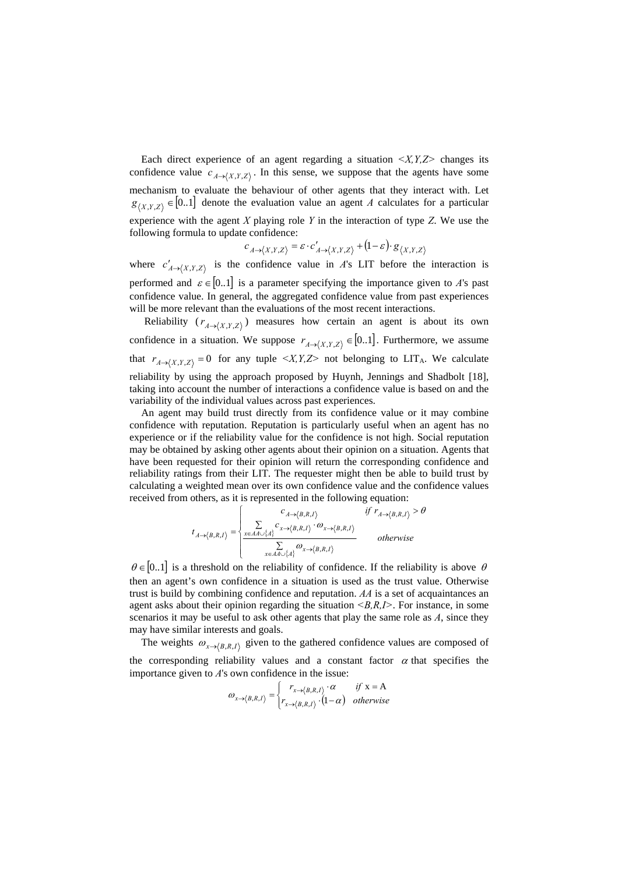Each direct experience of an agent regarding a situation  $\langle X, Y, Z \rangle$  changes its confidence value  $c_{A\rightarrow (X,Y,Z)}$ . In this sense, we suppose that the agents have some mechanism to evaluate the behaviour of other agents that they interact with. Let  $g_{(X,Y,Z)} \in [0..1]$  denote the evaluation value an agent *A* calculates for a particular experience with the agent *X* playing role *Y* in the interaction of type *Z*. We use the following formula to update confidence:

$$
c_{A\to\langle X,Y,Z\rangle}=\varepsilon\cdot c'_{A\to\langle X,Y,Z\rangle}+(1-\varepsilon)\cdot g_{\langle X,Y,Z\rangle}
$$

where  $c'_{A\rightarrow (X,Y,Z)}$  is the confidence value in *A*'s LIT before the interaction is performed and  $\varepsilon \in [0..1]$  is a parameter specifying the importance given to *A*'s past confidence value. In general, the aggregated confidence value from past experiences will be more relevant than the evaluations of the most recent interactions.

Reliability  $(r_{A\rightarrow (X,Y,Z)})$  measures how certain an agent is about its own confidence in a situation. We suppose  $r_{A\rightarrow (X,Y,Z)} \in [0..1]$ . Furthermore, we assume that  $r_{A\rightarrow (X,Y,Z)} = 0$  for any tuple  $\langle X, Y, Z \rangle$  not belonging to LIT<sub>A</sub>. We calculate reliability by using the approach proposed by Huynh, Jennings and Shadbolt [18], taking into account the number of interactions a confidence value is based on and the variability of the individual values across past experiences.

An agent may build trust directly from its confidence value or it may combine confidence with reputation. Reputation is particularly useful when an agent has no experience or if the reliability value for the confidence is not high. Social reputation may be obtained by asking other agents about their opinion on a situation. Agents that have been requested for their opinion will return the corresponding confidence and reliability ratings from their LIT. The requester might then be able to build trust by calculating a weighted mean over its own confidence value and the confidence values received from others, as it is represented in the following equation:

$$
t_{A\rightarrow\langle B,R,I\rangle}=\begin{cases}c_{A\rightarrow\langle B,R,I\rangle}&if\ r_{A\rightarrow\langle B,R,I\rangle}>\theta\\ \frac{\sum\limits_{x\in AA\cup\{A\}}c_{x\rightarrow\langle B,R,I\rangle}\cdot\omega_{x\rightarrow\langle B,R,I\rangle}}{\sum\limits_{x\in A\cup\{A\}}\omega_{x\rightarrow\langle B,R,I\rangle}}&otherwise\end{cases}
$$

 $\theta \in [0..1]$  is a threshold on the reliability of confidence. If the reliability is above  $\theta$ then an agent's own confidence in a situation is used as the trust value. Otherwise trust is build by combining confidence and reputation. *AA* is a set of acquaintances an agent asks about their opinion regarding the situation *<B,R,I>*. For instance, in some scenarios it may be useful to ask other agents that play the same role as *A*, since they may have similar interests and goals.

The weights  $\omega_{x\rightarrow(B,R,I)}$  given to the gathered confidence values are composed of the corresponding reliability values and a constant factor  $\alpha$  that specifies the importance given to *A*'s own confidence in the issue:

$$
\omega_{x \to \langle B,R,I \rangle} = \begin{cases} r_{x \to \langle B,R,I \rangle} \cdot \alpha & \text{if } x = A \\ r_{x \to \langle B,R,I \rangle} \cdot (1-\alpha) & \text{otherwise} \end{cases}
$$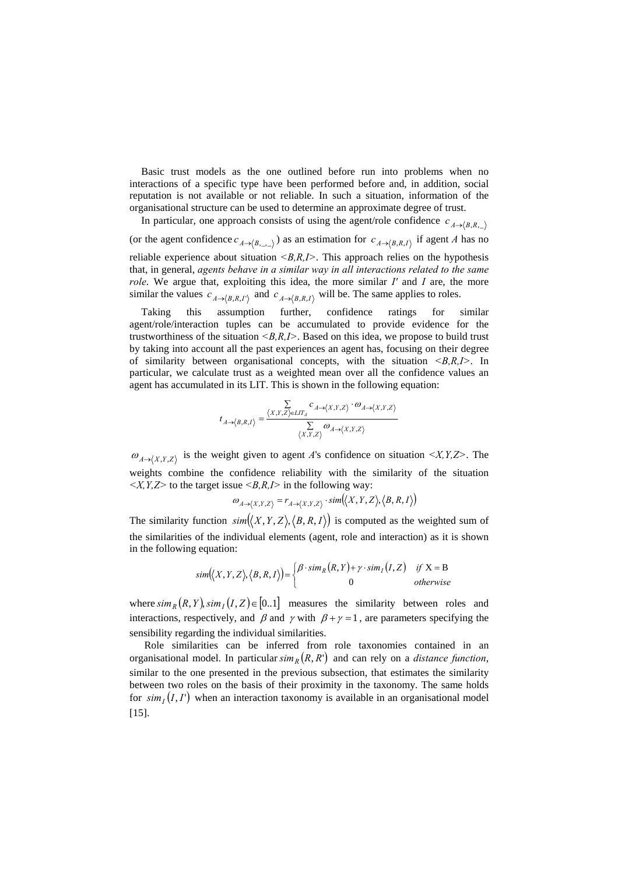Basic trust models as the one outlined before run into problems when no interactions of a specific type have been performed before and, in addition, social reputation is not available or not reliable. In such a situation, information of the organisational structure can be used to determine an approximate degree of trust.

In particular, one approach consists of using the agent/role confidence  $c_{A\rightarrow(B,R,\_)}$ (or the agent confidence  $c_{A\to \langle B,\_\sim\rangle}$ ) as an estimation for  $c_{A\to \langle B,R,I\rangle}$  if agent *A* has no reliable experience about situation  $\langle B, R, I \rangle$ . This approach relies on the hypothesis that, in general, *agents behave in a similar way in all interactions related to the same role*. We argue that, exploiting this idea, the more similar *I'* and *I* are, the more similar the values  $c_{A\rightarrow\langle B,R,I'\rangle}$  and  $c_{A\rightarrow\langle B,R,I'\rangle}$  will be. The same applies to roles.

Taking this assumption further, confidence ratings for similar agent/role/interaction tuples can be accumulated to provide evidence for the trustworthiness of the situation  $\langle B, R, I \rangle$ . Based on this idea, we propose to build trust by taking into account all the past experiences an agent has, focusing on their degree of similarity between organisational concepts, with the situation *<B,R,I>*. In particular, we calculate trust as a weighted mean over all the confidence values an agent has accumulated in its LIT. This is shown in the following equation:

$$
t_{A \to \langle B,R,I \rangle} = \frac{\sum\limits_{\langle X,Y,Z \rangle \in LIT_A} c_{A \to \langle X,Y,Z \rangle} \cdot \omega_{A \to \langle X,Y,Z \rangle}}{\sum\limits_{\langle X,Y,Z \rangle} \omega_{A \to \langle X,Y,Z \rangle}}
$$

 $\omega_{A\rightarrow (X,Y,Z)}$  is the weight given to agent *A*'s confidence on situation *<X,Y,Z*>. The weights combine the confidence reliability with the similarity of the situation *<X,Y,Z>* to the target issue *<B,R,I>* in the following way:

 $\omega_{A\rightarrow\langle X,Y,Z\rangle} = r_{A\rightarrow\langle X,Y,Z\rangle} \cdot sim(\langle X,Y,Z\rangle,\langle B,R,I\rangle)$ 

The similarity function  $sim(\langle X, Y, Z \rangle, \langle B, R, I \rangle)$  is computed as the weighted sum of the similarities of the individual elements (agent, role and interaction) as it is shown in the following equation:

$$
sim(\langle X, Y, Z \rangle, \langle B, R, I \rangle) = \begin{cases} \beta \cdot sim_R(R, Y) + \gamma \cdot sim_I(I, Z) & \text{if } X = B \\ 0 & \text{otherwise} \end{cases}
$$

where  $\sin n_R (R, Y)$ ,  $\sin n_I (I, Z) \in [0..1]$  measures the similarity between roles and interactions, respectively, and  $\beta$  and  $\gamma$  with  $\beta + \gamma = 1$ , are parameters specifying the sensibility regarding the individual similarities.

Role similarities can be inferred from role taxonomies contained in an organisational model. In particular  $\sin R(R, R')$  and can rely on a *distance function*, similar to the one presented in the previous subsection, that estimates the similarity between two roles on the basis of their proximity in the taxonomy. The same holds for  $\sin \frac{1}{I}$   $(I, I')$  when an interaction taxonomy is available in an organisational model [15].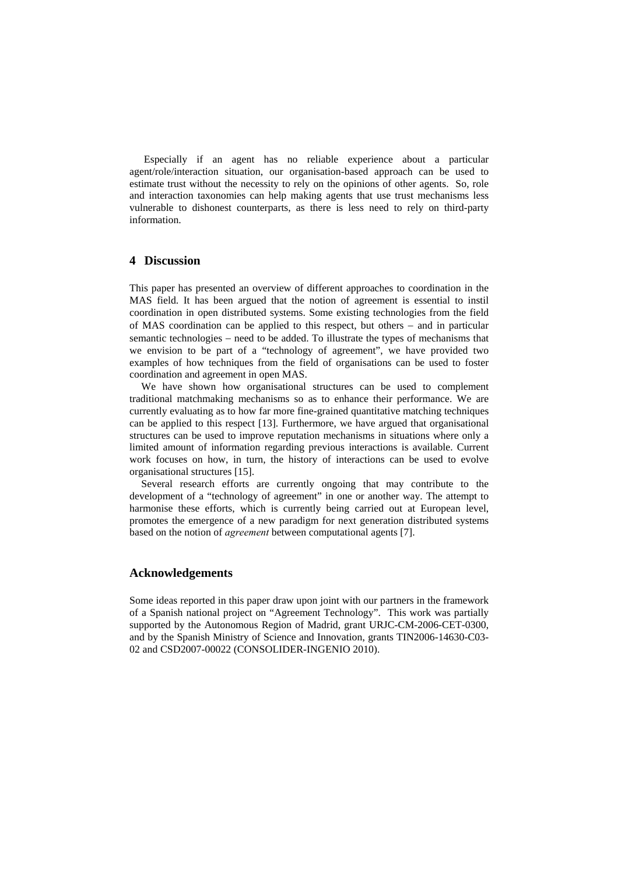Especially if an agent has no reliable experience about a particular agent/role/interaction situation, our organisation-based approach can be used to estimate trust without the necessity to rely on the opinions of other agents. So, role and interaction taxonomies can help making agents that use trust mechanisms less vulnerable to dishonest counterparts, as there is less need to rely on third-party information.

# **4 Discussion**

This paper has presented an overview of different approaches to coordination in the MAS field. It has been argued that the notion of agreement is essential to instil coordination in open distributed systems. Some existing technologies from the field of MAS coordination can be applied to this respect, but others − and in particular semantic technologies – need to be added. To illustrate the types of mechanisms that we envision to be part of a "technology of agreement", we have provided two examples of how techniques from the field of organisations can be used to foster coordination and agreement in open MAS.

We have shown how organisational structures can be used to complement traditional matchmaking mechanisms so as to enhance their performance. We are currently evaluating as to how far more fine-grained quantitative matching techniques can be applied to this respect [13]. Furthermore, we have argued that organisational structures can be used to improve reputation mechanisms in situations where only a limited amount of information regarding previous interactions is available. Current work focuses on how, in turn, the history of interactions can be used to evolve organisational structures [15].

Several research efforts are currently ongoing that may contribute to the development of a "technology of agreement" in one or another way. The attempt to harmonise these efforts, which is currently being carried out at European level, promotes the emergence of a new paradigm for next generation distributed systems based on the notion of *agreement* between computational agents [7].

### **Acknowledgements**

Some ideas reported in this paper draw upon joint with our partners in the framework of a Spanish national project on "Agreement Technology". This work was partially supported by the Autonomous Region of Madrid, grant URJC-CM-2006-CET-0300, and by the Spanish Ministry of Science and Innovation, grants TIN2006-14630-C03- 02 and CSD2007-00022 (CONSOLIDER-INGENIO 2010).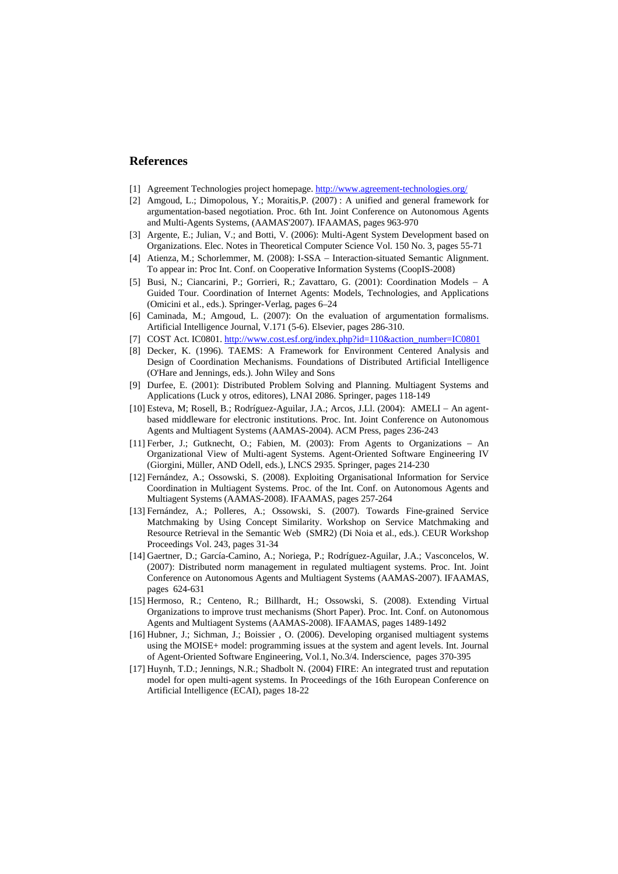### **References**

- [1] Agreement Technologies project homepage. http://www.agreement-technologies.org/
- [2] Amgoud, L.; Dimopolous, Y.; Moraitis,P. (2007) : A unified and general framework for argumentation-based negotiation. Proc. 6th Int. Joint Conference on Autonomous Agents and Multi-Agents Systems, (AAMAS'2007). IFAAMAS, pages 963-970
- [3] Argente, E.; Julian, V.; and Botti, V. (2006): Multi-Agent System Development based on Organizations. Elec. Notes in Theoretical Computer Science Vol. 150 No. 3, pages 55-71
- [4] Atienza, M.; Schorlemmer, M. (2008): I-SSA Interaction-situated Semantic Alignment. To appear in: Proc Int. Conf. on Cooperative Information Systems (CoopIS-2008)
- [5] Busi, N.; Ciancarini, P.; Gorrieri, R.; Zavattaro, G. (2001): Coordination Models − A Guided Tour. Coordination of Internet Agents: Models, Technologies, and Applications (Omicini et al., eds.). Springer-Verlag, pages 6–24
- [6] Caminada, M.; Amgoud, L. (2007): On the evaluation of argumentation formalisms. Artificial Intelligence Journal, V.171 (5-6). Elsevier, pages 286-310.
- [7] COST Act. IC0801. http://www.cost.esf.org/index.php?id=110&action\_number=IC0801
- [8] Decker, K. (1996). TAEMS: A Framework for Environment Centered Analysis and Design of Coordination Mechanisms. Foundations of Distributed Artificial Intelligence (O'Hare and Jennings, eds.). John Wiley and Sons
- [9] Durfee, E. (2001): Distributed Problem Solving and Planning. Multiagent Systems and Applications (Luck y otros, editores), LNAI 2086. Springer, pages 118-149
- [10] Esteva, M; Rosell, B.; Rodríguez-Aguilar, J.A.; Arcos, J.Ll. (2004): AMELI − An agentbased middleware for electronic institutions. Proc. Int. Joint Conference on Autonomous Agents and Multiagent Systems (AAMAS-2004). ACM Press, pages 236-243
- [11] Ferber, J.; Gutknecht, O.; Fabien, M. (2003): From Agents to Organizations − An Organizational View of Multi-agent Systems. Agent-Oriented Software Engineering IV (Giorgini, Müller, AND Odell, eds.), LNCS 2935. Springer, pages 214-230
- [12] Fernández, A.; Ossowski, S. (2008). Exploiting Organisational Information for Service Coordination in Multiagent Systems. Proc. of the Int. Conf. on Autonomous Agents and Multiagent Systems (AAMAS-2008). IFAAMAS, pages 257-264
- [13] Fernández, A.; Polleres, A.; Ossowski, S. (2007). Towards Fine-grained Service Matchmaking by Using Concept Similarity. Workshop on Service Matchmaking and Resource Retrieval in the Semantic Web (SMR2) (Di Noia et al., eds.). CEUR Workshop Proceedings Vol. 243, pages 31-34
- [14] Gaertner, D.; García-Camino, A.; Noriega, P.; Rodríguez-Aguilar, J.A.; Vasconcelos, W. (2007): Distributed norm management in regulated multiagent systems. Proc. Int. Joint Conference on Autonomous Agents and Multiagent Systems (AAMAS-2007). IFAAMAS, pages 624-631
- [15] Hermoso, R.; Centeno, R.; Billhardt, H.; Ossowski, S. (2008). Extending Virtual Organizations to improve trust mechanisms (Short Paper). Proc. Int. Conf. on Autonomous Agents and Multiagent Systems (AAMAS-2008). IFAAMAS, pages 1489-1492
- [16] Hubner, J.; Sichman, J.; Boissier , O. (2006). Developing organised multiagent systems using the MOISE+ model: programming issues at the system and agent levels. Int. Journal of Agent-Oriented Software Engineering, Vol.1, No.3/4. Inderscience, pages 370-395
- [17] Huynh, T.D.; Jennings, N.R.; Shadbolt N. (2004) FIRE: An integrated trust and reputation model for open multi-agent systems. In Proceedings of the 16th European Conference on Artificial Intelligence (ECAI), pages 18-22